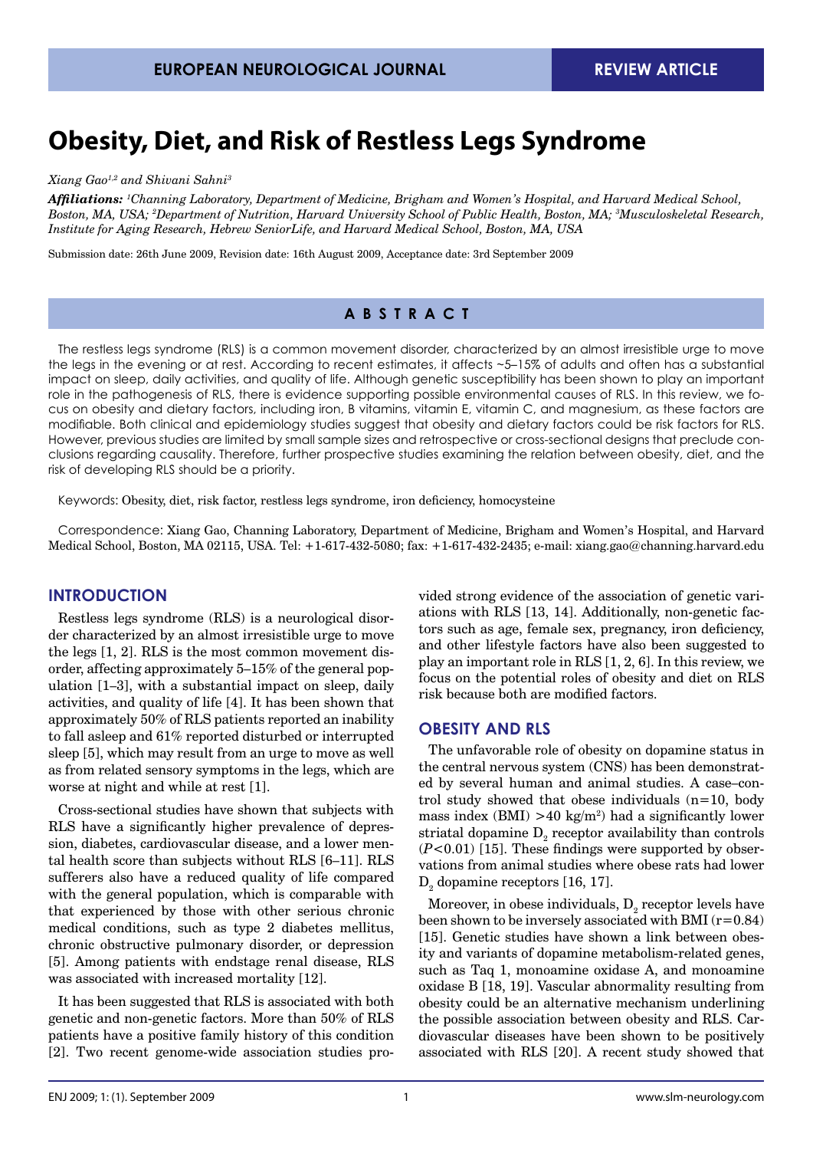# **Obesity, Diet, and Risk of Restless Legs Syndrome**

*Xiang Gao1,2 and Shivani Sahni3*

*Affiliations: <sup>1</sup> Channing Laboratory, Department of Medicine, Brigham and Women's Hospital, and Harvard Medical School, Boston, MA, USA; 2 Department of Nutrition, Harvard University School of Public Health, Boston, MA; 3 Musculoskeletal Research, Institute for Aging Research, Hebrew SeniorLife, and Harvard Medical School, Boston, MA, USA* 

Submission date: 26th June 2009, Revision date: 16th August 2009, Acceptance date: 3rd September 2009

# **A B S TRACT**

The restless legs syndrome (RLS) is a common movement disorder, characterized by an almost irresistible urge to move the legs in the evening or at rest. According to recent estimates, it affects ~5–15% of adults and often has a substantial impact on sleep, daily activities, and quality of life. Although genetic susceptibility has been shown to play an important role in the pathogenesis of RLS, there is evidence supporting possible environmental causes of RLS. In this review, we focus on obesity and dietary factors, including iron, B vitamins, vitamin E, vitamin C, and magnesium, as these factors are modifiable. Both clinical and epidemiology studies suggest that obesity and dietary factors could be risk factors for RLS. However, previous studies are limited by small sample sizes and retrospective or cross-sectional designs that preclude conclusions regarding causality. Therefore, further prospective studies examining the relation between obesity, diet, and the risk of developing RLS should be a priority.

Keywords: Obesity, diet, risk factor, restless legs syndrome, iron deficiency, homocysteine

Correspondence: Xiang Gao, Channing Laboratory, Department of Medicine, Brigham and Women's Hospital, and Harvard Medical School, Boston, MA 02115, USA. Tel: +1-617-432-5080; fax: +1-617-432-2435; e-mail: xiang.gao@channing.harvard.edu

## **INTRODUCTION**

Restless legs syndrome (RLS) is a neurological disorder characterized by an almost irresistible urge to move the legs [1, 2]. RLS is the most common movement disorder, affecting approximately 5–15% of the general population [1–3], with a substantial impact on sleep, daily activities, and quality of life [4]. It has been shown that approximately 50% of RLS patients reported an inability to fall asleep and 61% reported disturbed or interrupted sleep [5], which may result from an urge to move as well as from related sensory symptoms in the legs, which are worse at night and while at rest [1].

Cross-sectional studies have shown that subjects with RLS have a significantly higher prevalence of depression, diabetes, cardiovascular disease, and a lower mental health score than subjects without RLS [6–11]. RLS sufferers also have a reduced quality of life compared with the general population, which is comparable with that experienced by those with other serious chronic medical conditions, such as type 2 diabetes mellitus, chronic obstructive pulmonary disorder, or depression [5]. Among patients with endstage renal disease, RLS was associated with increased mortality [12].

It has been suggested that RLS is associated with both genetic and non-genetic factors. More than 50% of RLS patients have a positive family history of this condition [2]. Two recent genome-wide association studies pro-

vided strong evidence of the association of genetic variations with RLS [13, 14]. Additionally, non-genetic factors such as age, female sex, pregnancy, iron deficiency, and other lifestyle factors have also been suggested to play an important role in RLS [1, 2, 6]. In this review, we focus on the potential roles of obesity and diet on RLS risk because both are modified factors.

#### **OBESITY AND RLS**

The unfavorable role of obesity on dopamine status in the central nervous system (CNS) has been demonstrated by several human and animal studies. A case–control study showed that obese individuals  $(n=10, \text{ body})$ mass index  $(BMI) > 40 \text{ kg/m}^2$  had a significantly lower striatal dopamine  $D_2$  receptor availability than controls (*P*<0.01) [15]. These findings were supported by observations from animal studies where obese rats had lower  $D_2$  dopamine receptors [16, 17].

Moreover, in obese individuals,  $\mathrm{D}_\mathrm{2}$  receptor levels have been shown to be inversely associated with BMI  $(r=0.84)$ [15]. Genetic studies have shown a link between obesity and variants of dopamine metabolism-related genes, such as Taq 1, monoamine oxidase A, and monoamine oxidase B [18, 19]. Vascular abnormality resulting from obesity could be an alternative mechanism underlining the possible association between obesity and RLS. Cardiovascular diseases have been shown to be positively associated with RLS [20]. A recent study showed that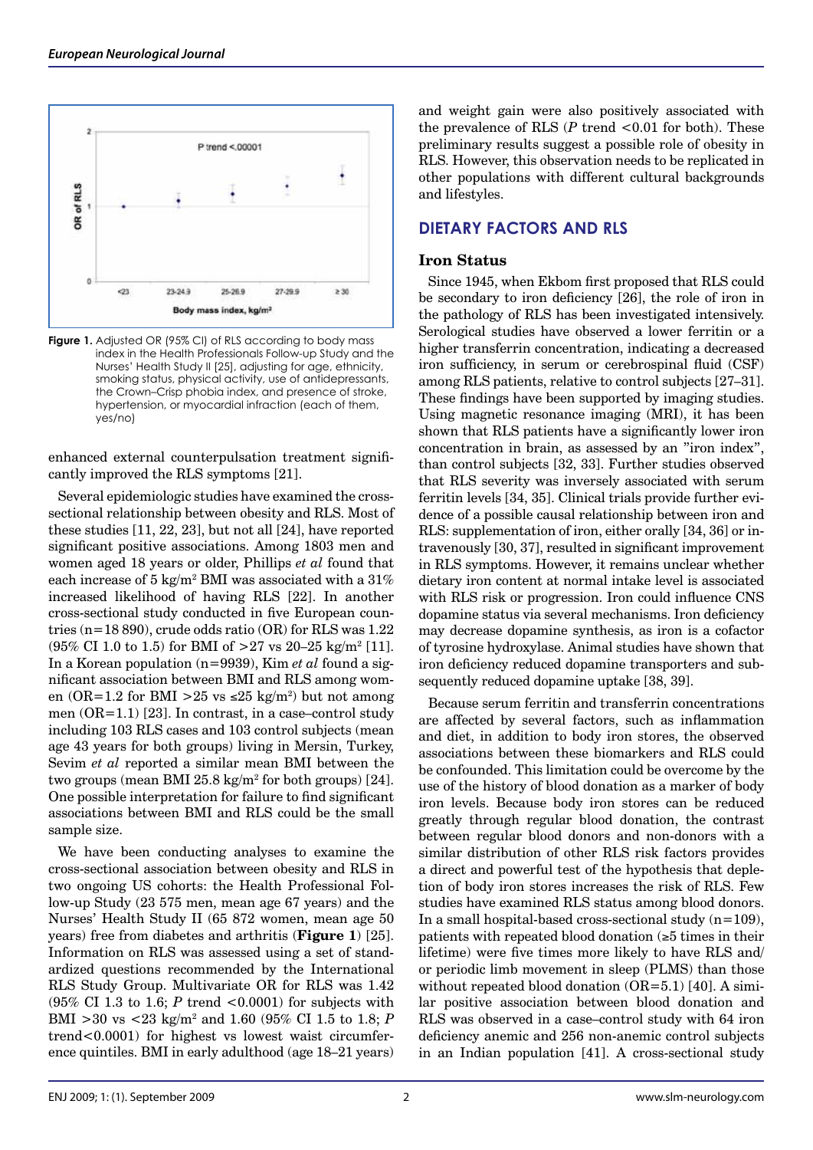

**Figure 1.** Adjusted OR (95% CI) of RLS according to body mass index in the Health Professionals Follow-up Study and the Nurses' Health Study II [25], adjusting for age, ethnicity, smoking status, physical activity, use of antidepressants, the Crown–Crisp phobia index, and presence of stroke, hypertension, or myocardial infraction (each of them, yes/no)

enhanced external counterpulsation treatment significantly improved the RLS symptoms [21].

Several epidemiologic studies have examined the crosssectional relationship between obesity and RLS. Most of these studies [11, 22, 23], but not all [24], have reported significant positive associations. Among 1803 men and women aged 18 years or older, Phillips *et al* found that each increase of 5 kg/m<sup>2</sup> BMI was associated with a 31% increased likelihood of having RLS [22]. In another cross-sectional study conducted in five European countries (n=18 890), crude odds ratio (OR) for RLS was 1.22  $(95\% \text{ CI } 1.0 \text{ to } 1.5) \text{ for BMI of } >27 \text{ vs } 20-25 \text{ kg/m}^2 \text{ [11]}.$ In a Korean population (n=9939), Kim *et al* found a significant association between BMI and RLS among women (OR=1.2 for BMI > 25 vs  $\leq$ 25 kg/m<sup>2</sup>) but not among men  $(OR=1.1)$  [23]. In contrast, in a case–control study including 103 RLS cases and 103 control subjects (mean age 43 years for both groups) living in Mersin, Turkey, Sevim *et al* reported a similar mean BMI between the two groups (mean BMI  $25.8 \text{ kg/m}^2$  for both groups) [24]. One possible interpretation for failure to find significant associations between BMI and RLS could be the small sample size.

We have been conducting analyses to examine the cross-sectional association between obesity and RLS in two ongoing US cohorts: the Health Professional Follow-up Study (23 575 men, mean age 67 years) and the Nurses' Health Study II (65 872 women, mean age 50 years) free from diabetes and arthritis (**Figure 1**) [25]. Information on RLS was assessed using a set of standardized questions recommended by the International RLS Study Group. Multivariate OR for RLS was 1.42 (95% CI 1.3 to 1.6; *P* trend <0.0001) for subjects with BMI >30 vs <23 kg/m2 and 1.60 (95% CI 1.5 to 1.8; *P* trend<0.0001) for highest vs lowest waist circumference quintiles. BMI in early adulthood (age 18–21 years)

and weight gain were also positively associated with the prevalence of RLS (*P* trend <0.01 for both). These preliminary results suggest a possible role of obesity in RLS. However, this observation needs to be replicated in other populations with different cultural backgrounds and lifestyles.

# **DIETARY FACTORS AND RLS**

### **Iron Status**

Since 1945, when Ekbom first proposed that RLS could be secondary to iron deficiency [26], the role of iron in the pathology of RLS has been investigated intensively. Serological studies have observed a lower ferritin or a higher transferrin concentration, indicating a decreased iron sufficiency, in serum or cerebrospinal fluid (CSF) among RLS patients, relative to control subjects [27–31]. These findings have been supported by imaging studies. Using magnetic resonance imaging (MRI), it has been shown that RLS patients have a significantly lower iron concentration in brain, as assessed by an "iron index", than control subjects [32, 33]. Further studies observed that RLS severity was inversely associated with serum ferritin levels [34, 35]. Clinical trials provide further evidence of a possible causal relationship between iron and RLS: supplementation of iron, either orally [34, 36] or intravenously [30, 37], resulted in significant improvement in RLS symptoms. However, it remains unclear whether dietary iron content at normal intake level is associated with RLS risk or progression. Iron could influence CNS dopamine status via several mechanisms. Iron deficiency may decrease dopamine synthesis, as iron is a cofactor of tyrosine hydroxylase. Animal studies have shown that iron deficiency reduced dopamine transporters and subsequently reduced dopamine uptake [38, 39].

Because serum ferritin and transferrin concentrations are affected by several factors, such as inflammation and diet, in addition to body iron stores, the observed associations between these biomarkers and RLS could be confounded. This limitation could be overcome by the use of the history of blood donation as a marker of body iron levels. Because body iron stores can be reduced greatly through regular blood donation, the contrast between regular blood donors and non-donors with a similar distribution of other RLS risk factors provides a direct and powerful test of the hypothesis that depletion of body iron stores increases the risk of RLS. Few studies have examined RLS status among blood donors. In a small hospital-based cross-sectional study  $(n=109)$ , patients with repeated blood donation (≥5 times in their lifetime) were five times more likely to have RLS and/ or periodic limb movement in sleep (PLMS) than those without repeated blood donation  $(OR=5.1)$  [40]. A similar positive association between blood donation and RLS was observed in a case–control study with 64 iron deficiency anemic and 256 non-anemic control subjects in an Indian population [41]. A cross-sectional study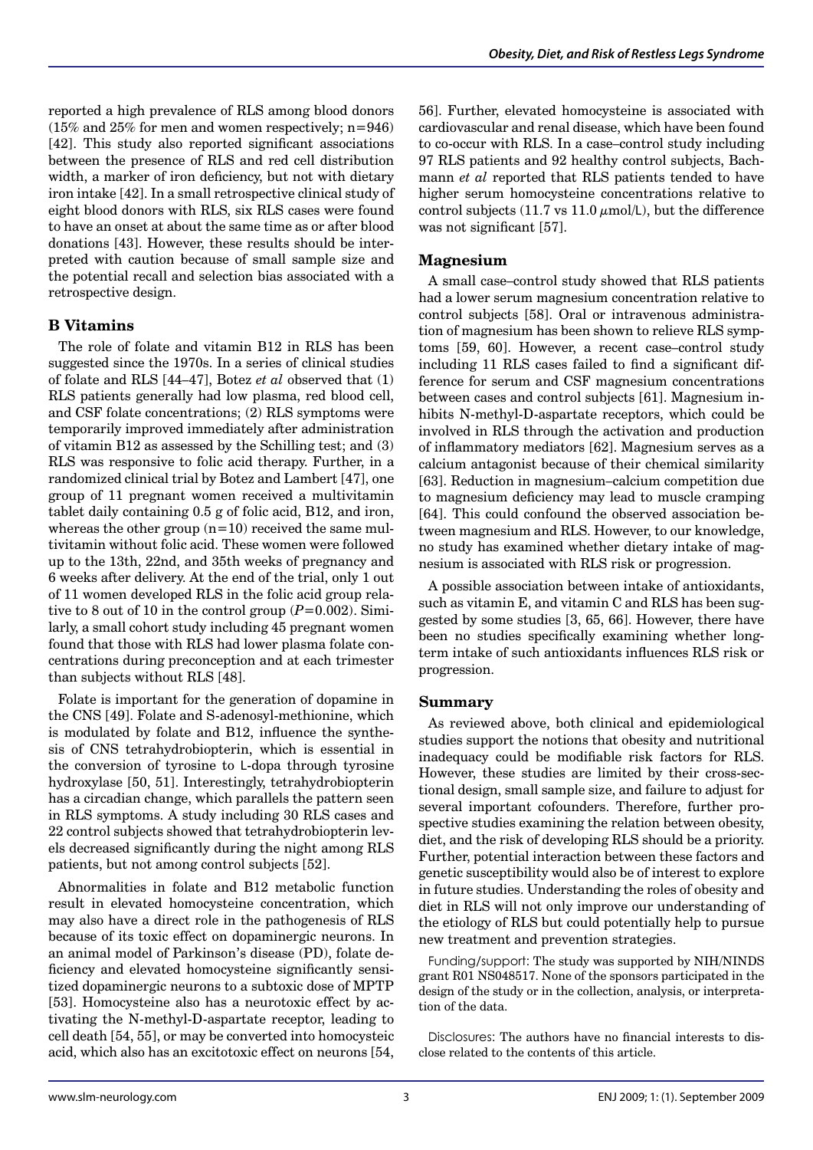reported a high prevalence of RLS among blood donors (15% and 25% for men and women respectively; n=946) [42]. This study also reported significant associations between the presence of RLS and red cell distribution width, a marker of iron deficiency, but not with dietary iron intake [42]. In a small retrospective clinical study of eight blood donors with RLS, six RLS cases were found to have an onset at about the same time as or after blood donations [43]. However, these results should be interpreted with caution because of small sample size and the potential recall and selection bias associated with a retrospective design.

## **B Vitamins**

The role of folate and vitamin B12 in RLS has been suggested since the 1970s. In a series of clinical studies of folate and RLS [44–47], Botez *et al* observed that (1) RLS patients generally had low plasma, red blood cell, and CSF folate concentrations; (2) RLS symptoms were temporarily improved immediately after administration of vitamin B12 as assessed by the Schilling test; and (3) RLS was responsive to folic acid therapy. Further, in a randomized clinical trial by Botez and Lambert [47], one group of 11 pregnant women received a multivitamin tablet daily containing 0.5 g of folic acid, B12, and iron, whereas the other group  $(n=10)$  received the same multivitamin without folic acid. These women were followed up to the 13th, 22nd, and 35th weeks of pregnancy and 6 weeks after delivery. At the end of the trial, only 1 out of 11 women developed RLS in the folic acid group relative to 8 out of 10 in the control group  $(P=0.002)$ . Similarly, a small cohort study including 45 pregnant women found that those with RLS had lower plasma folate concentrations during preconception and at each trimester than subjects without RLS [48].

Folate is important for the generation of dopamine in the CNS [49]. Folate and S-adenosyl-methionine, which is modulated by folate and B12, influence the synthesis of CNS tetrahydrobiopterin, which is essential in the conversion of tyrosine to L-dopa through tyrosine hydroxylase [50, 51]. Interestingly, tetrahydrobiopterin has a circadian change, which parallels the pattern seen in RLS symptoms. A study including 30 RLS cases and 22 control subjects showed that tetrahydrobiopterin levels decreased significantly during the night among RLS patients, but not among control subjects [52].

Abnormalities in folate and B12 metabolic function result in elevated homocysteine concentration, which may also have a direct role in the pathogenesis of RLS because of its toxic effect on dopaminergic neurons. In an animal model of Parkinson's disease (PD), folate deficiency and elevated homocysteine significantly sensitized dopaminergic neurons to a subtoxic dose of MPTP [53]. Homocysteine also has a neurotoxic effect by activating the N-methyl-D-aspartate receptor, leading to cell death [54, 55], or may be converted into homocysteic acid, which also has an excitotoxic effect on neurons [54,

56]. Further, elevated homocysteine is associated with cardiovascular and renal disease, which have been found to co-occur with RLS. In a case–control study including 97 RLS patients and 92 healthy control subjects, Bachmann *et al* reported that RLS patients tended to have higher serum homocysteine concentrations relative to control subjects (11.7 vs 11.0  $\mu$ mol/L), but the difference was not significant [57].

#### **Magnesium**

A small case–control study showed that RLS patients had a lower serum magnesium concentration relative to control subjects [58]. Oral or intravenous administration of magnesium has been shown to relieve RLS symptoms [59, 60]. However, a recent case–control study including 11 RLS cases failed to find a significant difference for serum and CSF magnesium concentrations between cases and control subjects [61]. Magnesium inhibits N-methyl-D-aspartate receptors, which could be involved in RLS through the activation and production of inflammatory mediators [62]. Magnesium serves as a calcium antagonist because of their chemical similarity [63]. Reduction in magnesium–calcium competition due to magnesium deficiency may lead to muscle cramping [64]. This could confound the observed association between magnesium and RLS. However, to our knowledge, no study has examined whether dietary intake of magnesium is associated with RLS risk or progression.

A possible association between intake of antioxidants, such as vitamin E, and vitamin C and RLS has been suggested by some studies [3, 65, 66]. However, there have been no studies specifically examining whether longterm intake of such antioxidants influences RLS risk or progression.

#### **Summary**

As reviewed above, both clinical and epidemiological studies support the notions that obesity and nutritional inadequacy could be modifiable risk factors for RLS. However, these studies are limited by their cross-sectional design, small sample size, and failure to adjust for several important cofounders. Therefore, further prospective studies examining the relation between obesity, diet, and the risk of developing RLS should be a priority. Further, potential interaction between these factors and genetic susceptibility would also be of interest to explore in future studies. Understanding the roles of obesity and diet in RLS will not only improve our understanding of the etiology of RLS but could potentially help to pursue new treatment and prevention strategies.

Funding/support: The study was supported by NIH/NINDS grant R01 NS048517. None of the sponsors participated in the design of the study or in the collection, analysis, or interpretation of the data.

Disclosures: The authors have no financial interests to disclose related to the contents of this article.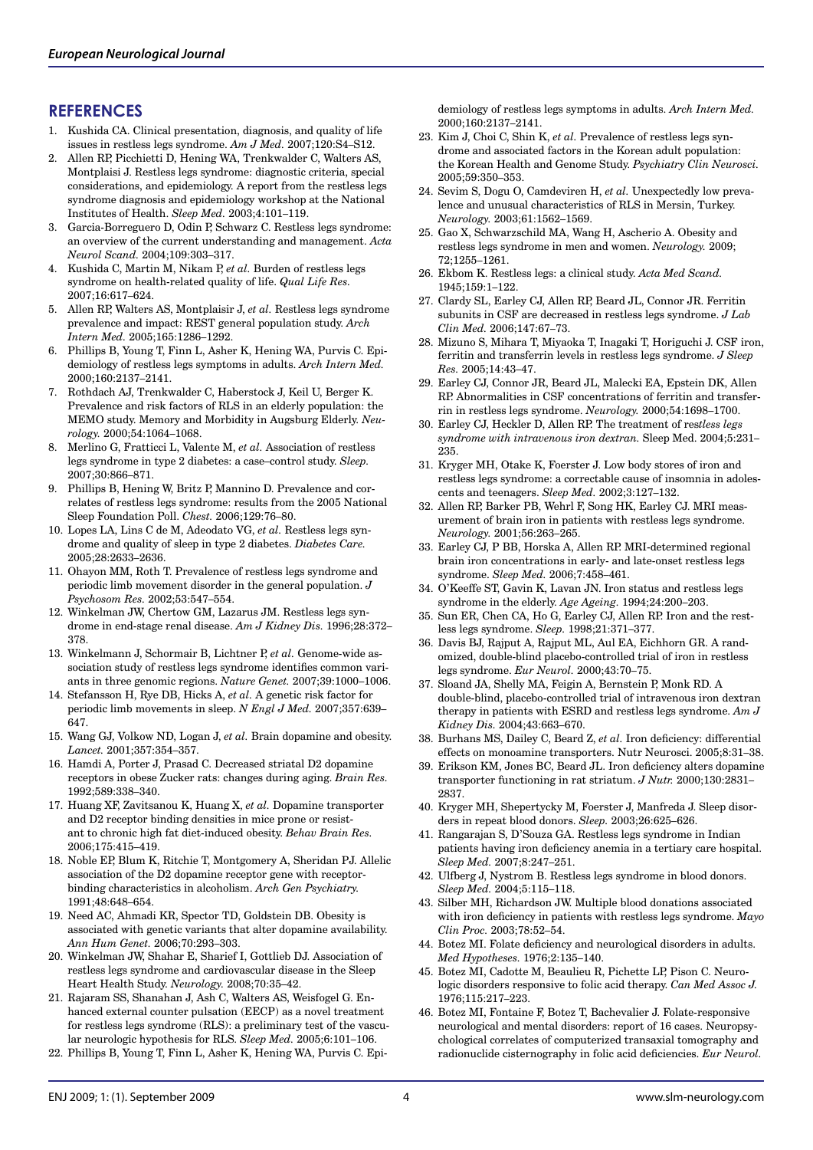## **REFERENCES**

- 1. Kushida CA. Clinical presentation, diagnosis, and quality of life issues in restless legs syndrome. *Am J Med.* 2007;120:S4–S12.
- 2. Allen RP, Picchietti D, Hening WA, Trenkwalder C, Walters AS, Montplaisi J. Restless legs syndrome: diagnostic criteria, special considerations, and epidemiology. A report from the restless legs syndrome diagnosis and epidemiology workshop at the National Institutes of Health. *Sleep Med.* 2003;4:101–119.
- 3. Garcia-Borreguero D, Odin P, Schwarz C. Restless legs syndrome: an overview of the current understanding and management. *Acta Neurol Scand.* 2004;109:303–317.
- 4. Kushida C, Martin M, Nikam P, *et al.* Burden of restless legs syndrome on health-related quality of life. *Qual Life Res.* 2007;16:617–624.
- 5. Allen RP, Walters AS, Montplaisir J, *et al.* Restless legs syndrome prevalence and impact: REST general population study. *Arch Intern Med.* 2005;165:1286–1292.
- 6. Phillips B, Young T, Finn L, Asher K, Hening WA, Purvis C. Epidemiology of restless legs symptoms in adults. *Arch Intern Med.* 2000;160:2137–2141.
- 7. Rothdach AJ, Trenkwalder C, Haberstock J, Keil U, Berger K. Prevalence and risk factors of RLS in an elderly population: the MEMO study. Memory and Morbidity in Augsburg Elderly. *Neurology.* 2000;54:1064–1068.
- 8. Merlino G, Fratticci L, Valente M, *et al.* Association of restless legs syndrome in type 2 diabetes: a case–control study. *Sleep.* 2007;30:866–871.
- 9. Phillips B, Hening W, Britz P, Mannino D. Prevalence and correlates of restless legs syndrome: results from the 2005 National Sleep Foundation Poll. *Chest.* 2006;129:76–80.
- 10. Lopes LA, Lins C de M, Adeodato VG, *et al.* Restless legs syndrome and quality of sleep in type 2 diabetes. *Diabetes Care.*  2005;28:2633–2636.
- 11. Ohayon MM, Roth T. Prevalence of restless legs syndrome and periodic limb movement disorder in the general population. *J Psychosom Res.* 2002;53:547–554.
- 12. Winkelman JW, Chertow GM, Lazarus JM. Restless legs syndrome in end-stage renal disease. *Am J Kidney Dis.* 1996;28:372– 378.
- 13. Winkelmann J, Schormair B, Lichtner P, *et al.* Genome-wide association study of restless legs syndrome identifies common variants in three genomic regions. *Nature Genet.* 2007;39:1000–1006.
- 14. Stefansson H, Rye DB, Hicks A, *et al.* A genetic risk factor for periodic limb movements in sleep. *N Engl J Med.* 2007;357:639– 647.
- 15. Wang GJ, Volkow ND, Logan J, *et al.* Brain dopamine and obesity. *Lancet.* 2001;357:354–357.
- 16. Hamdi A, Porter J, Prasad C. Decreased striatal D2 dopamine receptors in obese Zucker rats: changes during aging. *Brain Res.* 1992;589:338–340.
- 17. Huang XF, Zavitsanou K, Huang X, *et al.* Dopamine transporter and D2 receptor binding densities in mice prone or resistant to chronic high fat diet-induced obesity. *Behav Brain Res.* 2006;175:415–419.
- 18. Noble EP, Blum K, Ritchie T, Montgomery A, Sheridan PJ. Allelic association of the D2 dopamine receptor gene with receptorbinding characteristics in alcoholism. *Arch Gen Psychiatry.*  1991;48:648–654.
- 19. Need AC, Ahmadi KR, Spector TD, Goldstein DB. Obesity is associated with genetic variants that alter dopamine availability. *Ann Hum Genet.* 2006;70:293–303.
- 20. Winkelman JW, Shahar E, Sharief I, Gottlieb DJ. Association of restless legs syndrome and cardiovascular disease in the Sleep Heart Health Study. *Neurology.* 2008;70:35–42.
- 21. Rajaram SS, Shanahan J, Ash C, Walters AS, Weisfogel G. Enhanced external counter pulsation (EECP) as a novel treatment for restless legs syndrome (RLS): a preliminary test of the vascular neurologic hypothesis for RLS. *Sleep Med.* 2005;6:101–106.
- 22. Phillips B, Young T, Finn L, Asher K, Hening WA, Purvis C. Epi-

demiology of restless legs symptoms in adults. *Arch Intern Med.* 2000;160:2137–2141.

- 23. Kim J, Choi C, Shin K, *et al.* Prevalence of restless legs syndrome and associated factors in the Korean adult population: the Korean Health and Genome Study. *Psychiatry Clin Neurosci.* 2005;59:350–353.
- 24. Sevim S, Dogu O, Camdeviren H, *et al.* Unexpectedly low prevalence and unusual characteristics of RLS in Mersin, Turkey. *Neurology.* 2003;61:1562–1569.
- 25. Gao X, Schwarzschild MA, Wang H, Ascherio A. Obesity and restless legs syndrome in men and women. *Neurology.* 2009; 72;1255–1261.
- 26. Ekbom K. Restless legs: a clinical study. *Acta Med Scand.*  1945;159:1–122.
- 27. Clardy SL, Earley CJ, Allen RP, Beard JL, Connor JR. Ferritin subunits in CSF are decreased in restless legs syndrome. *J Lab Clin Med.* 2006;147:67–73.
- 28. Mizuno S, Mihara T, Miyaoka T, Inagaki T, Horiguchi J. CSF iron, ferritin and transferrin levels in restless legs syndrome. *J Sleep Res.* 2005;14:43–47.
- 29. Earley CJ, Connor JR, Beard JL, Malecki EA, Epstein DK, Allen RP. Abnormalities in CSF concentrations of ferritin and transferrin in restless legs syndrome. *Neurology.* 2000;54:1698–1700.
- 30. Earley CJ, Heckler D, Allen RP. The treatment of res*tless legs syndrome with intravenous iron dextran.* Sleep Med. 2004;5:231– 235.
- 31. Kryger MH, Otake K, Foerster J. Low body stores of iron and restless legs syndrome: a correctable cause of insomnia in adolescents and teenagers. *Sleep Med.* 2002;3:127–132.
- 32. Allen RP, Barker PB, Wehrl F, Song HK, Earley CJ. MRI measurement of brain iron in patients with restless legs syndrome. *Neurology.* 2001;56:263–265.
- 33. Earley CJ, P BB, Horska A, Allen RP. MRI-determined regional brain iron concentrations in early- and late-onset restless legs syndrome. *Sleep Med.* 2006;7:458–461.
- 34. O'Keeffe ST, Gavin K, Lavan JN. Iron status and restless legs syndrome in the elderly. *Age Ageing.* 1994;24:200–203.
- 35. Sun ER, Chen CA, Ho G, Earley CJ, Allen RP. Iron and the restless legs syndrome. *Sleep.* 1998;21:371–377.
- 36. Davis BJ, Rajput A, Rajput ML, Aul EA, Eichhorn GR. A randomized, double-blind placebo-controlled trial of iron in restless legs syndrome. *Eur Neurol.* 2000;43:70–75.
- 37. Sloand JA, Shelly MA, Feigin A, Bernstein P, Monk RD. A double-blind, placebo-controlled trial of intravenous iron dextran therapy in patients with ESRD and restless legs syndrome. *Am J Kidney Dis.* 2004;43:663–670.
- 38. Burhans MS, Dailey C, Beard Z, *et al.* Iron deficiency: differential effects on monoamine transporters. Nutr Neurosci. 2005;8:31–38.
- 39. Erikson KM, Jones BC, Beard JL. Iron deficiency alters dopamine transporter functioning in rat striatum. *J Nutr.* 2000;130:2831– 2837.
- 40. Kryger MH, Shepertycky M, Foerster J, Manfreda J. Sleep disorders in repeat blood donors. *Sleep.* 2003;26:625–626.
- 41. Rangarajan S, D'Souza GA. Restless legs syndrome in Indian patients having iron deficiency anemia in a tertiary care hospital. *Sleep Med.* 2007;8:247–251.
- 42. Ulfberg J, Nystrom B. Restless legs syndrome in blood donors. *Sleep Med.* 2004;5:115–118.
- 43. Silber MH, Richardson JW. Multiple blood donations associated with iron deficiency in patients with restless legs syndrome. *Mayo Clin Proc.* 2003;78:52–54.
- 44. Botez MI. Folate deficiency and neurological disorders in adults. *Med Hypotheses.* 1976;2:135–140.
- 45. Botez MI, Cadotte M, Beaulieu R, Pichette LP, Pison C. Neurologic disorders responsive to folic acid therapy. *Can Med Assoc J.* 1976;115:217–223.
- 46. Botez MI, Fontaine F, Botez T, Bachevalier J. Folate-responsive neurological and mental disorders: report of 16 cases. Neuropsychological correlates of computerized transaxial tomography and radionuclide cisternography in folic acid deficiencies. *Eur Neurol.*